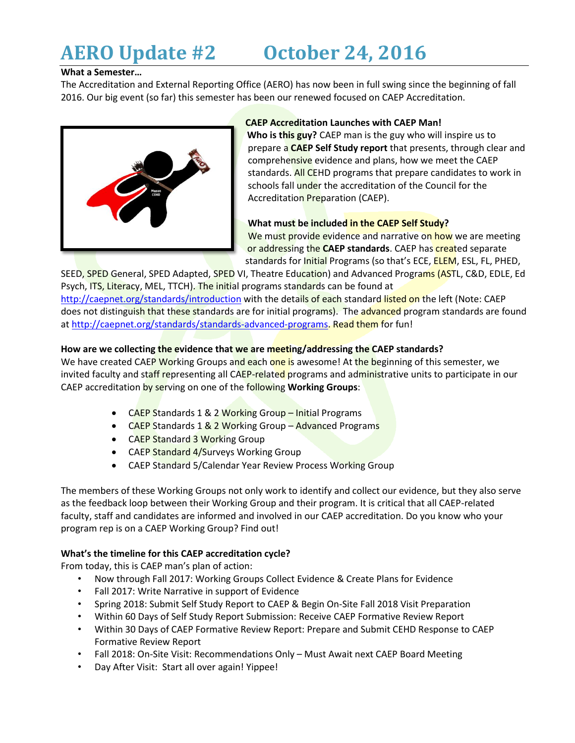# **AERO Update #2 October 24, 2016**

## **What a Semester…**

The Accreditation and External Reporting Office (AERO) has now been in full swing since the beginning of fall 2016. Our big event (so far) this semester has been our renewed focused on CAEP Accreditation.



## **CAEP Accreditation Launches with CAEP Man!**

**Who is this guy?** CAEP man is the guy who will inspire us to prepare a **CAEP Self Study report** that presents, through clear and comprehensive evidence and plans, how we meet the CAEP standards. All CEHD programs that prepare candidates to work in schools fall under the accreditation of the Council for the Accreditation Preparation (CAEP).

# **What must be included in the CAEP Self Study?**

We must provide evidence and narrative on how we are meeting or addressing the **CAEP standards**. CAEP has created separate standards for Initial Programs (so that's ECE, **ELEM**, ESL, FL, PHED,

SEED, SPED General, SPED Adapted, SPED VI, Theatre Education) and Advanced Programs (ASTL, C&D, EDLE, Ed Psych, ITS, Literacy, MEL, TTCH). The initial programs standards can be found at <http://caepnet.org/standards/introduction> with the details of each standard listed on the left (Note: CAEP does not distinguish that these standards are for initial programs). The advanced program standards are found at [http://caepnet.org/standards/standards-advanced-programs.](http://caepnet.org/standards/standards-advanced-programs) Read them for fun!

# **How are we collecting the evidence that we are meeting/addressing the CAEP standards?**

We have created CAEP Working Groups and each one is awesome! At the beginning of this semester, we invited faculty and staff representing all CAEP-related programs and administrative units to participate in our CAEP accreditation by serving on one of the following **Working Groups**:

- CAEP Standards 1 & 2 Working Group Initial Programs
- CAEP Standards 1 & 2 Working Group Advanced Programs
- CAEP Standard 3 Working Group
- CAEP Standard 4/Surveys Working Group
- CAEP Standard 5/Calendar Year Review Process Working Group

The members of these Working Groups not only work to identify and collect our evidence, but they also serve as the feedback loop between their Working Group and their program. It is critical that all CAEP-related faculty, staff and candidates are informed and involved in our CAEP accreditation. Do you know who your program rep is on a CAEP Working Group? Find out!

## **What's the timeline for this CAEP accreditation cycle?**

From today, this is CAEP man's plan of action:

- Now through Fall 2017: Working Groups Collect Evidence & Create Plans for Evidence
- Fall 2017: Write Narrative in support of Evidence
- Spring 2018: Submit Self Study Report to CAEP & Begin On-Site Fall 2018 Visit Preparation
- Within 60 Days of Self Study Report Submission: Receive CAEP Formative Review Report
- Within 30 Days of CAEP Formative Review Report: Prepare and Submit CEHD Response to CAEP Formative Review Report
- Fall 2018: On-Site Visit: Recommendations Only Must Await next CAEP Board Meeting
- Day After Visit: Start all over again! Yippee!